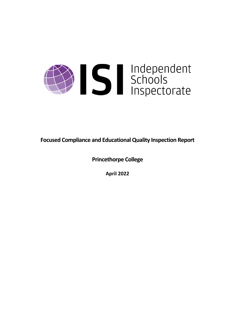

**Focused Compliance and EducationalQuality Inspection Report**

**Princethorpe College**

**April 2022**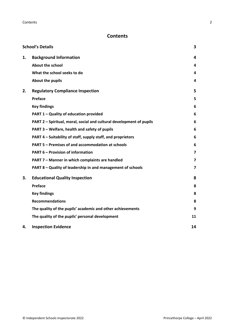# **Contents**

|    | <b>School's Details</b>                                              | 3                       |
|----|----------------------------------------------------------------------|-------------------------|
| 1. | <b>Background Information</b>                                        | 4                       |
|    | <b>About the school</b>                                              | 4                       |
|    | What the school seeks to do                                          | 4                       |
|    | About the pupils                                                     | 4                       |
| 2. | <b>Regulatory Compliance Inspection</b>                              | 5                       |
|    | Preface                                                              | 5                       |
|    | <b>Key findings</b>                                                  | 6                       |
|    | PART 1 - Quality of education provided                               | 6                       |
|    | PART 2 - Spiritual, moral, social and cultural development of pupils | 6                       |
|    | PART 3 - Welfare, health and safety of pupils                        | 6                       |
|    | PART 4 – Suitability of staff, supply staff, and proprietors         | 6                       |
|    | PART 5 - Premises of and accommodation at schools                    | 6                       |
|    | <b>PART 6 - Provision of information</b>                             | $\overline{\mathbf{z}}$ |
|    | PART 7 - Manner in which complaints are handled                      | $\overline{7}$          |
|    | PART 8 - Quality of leadership in and management of schools          | $\overline{\mathbf{z}}$ |
| 3. | <b>Educational Quality Inspection</b>                                | 8                       |
|    | Preface                                                              | 8                       |
|    | <b>Key findings</b>                                                  | 8                       |
|    | <b>Recommendations</b>                                               | 8                       |
|    | The quality of the pupils' academic and other achievements           | 9                       |
|    | The quality of the pupils' personal development                      | 11                      |
| 4. | <b>Inspection Evidence</b>                                           | 14                      |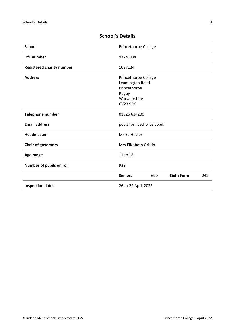| <b>School</b>                    | Princethorpe College    |     |                   |     |
|----------------------------------|-------------------------|-----|-------------------|-----|
| <b>DfE</b> number                | 937/6084                |     |                   |     |
| <b>Registered charity number</b> | 1087124                 |     |                   |     |
| <b>Address</b>                   | Princethorpe College    |     |                   |     |
|                                  | Leamington Road         |     |                   |     |
|                                  | Princethorpe            |     |                   |     |
|                                  | Rugby                   |     |                   |     |
|                                  | Warwickshire            |     |                   |     |
|                                  | <b>CV23 9PX</b>         |     |                   |     |
| <b>Telephone number</b>          | 01926 634200            |     |                   |     |
| <b>Email address</b>             | post@princethorpe.co.uk |     |                   |     |
| <b>Headmaster</b>                | Mr Ed Hester            |     |                   |     |
| <b>Chair of governors</b>        | Mrs Elizabeth Griffin   |     |                   |     |
| Age range                        | 11 to 18                |     |                   |     |
| Number of pupils on roll         | 932                     |     |                   |     |
|                                  | <b>Seniors</b>          | 690 | <b>Sixth Form</b> | 242 |
| <b>Inspection dates</b>          | 26 to 29 April 2022     |     |                   |     |

# <span id="page-2-0"></span>**School's Details**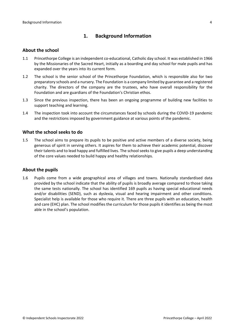# <span id="page-3-0"></span>**1. Background Information**

#### <span id="page-3-1"></span>**About the school**

- 1.1 Princethorpe College is an independent co-educational, Catholic day school. It was established in 1966 by the Missionaries of the Sacred Heart, initially as a boarding and day school for male pupils and has expanded over the years into its current form.
- 1.2 The school is the senior school of the Princethorpe Foundation, which is responsible also for two preparatory schools and a nursery. The Foundation is a company limited by guarantee and a registered charity. The directors of the company are the trustees, who have overall responsibility for the Foundation and are guardians of the Foundation's Christian ethos.
- 1.3 Since the previous inspection, there has been an ongoing programme of building new facilities to support teaching and learning.
- 1.4 The inspection took into account the circumstances faced by schools during the COVID-19 pandemic and the restrictions imposed by government guidance at various points of the pandemic.

#### <span id="page-3-2"></span>**What the school seeks to do**

1.5 The school aims to prepare its pupils to be positive and active members of a diverse society, being generous of spirit in serving others. It aspires for them to achieve their academic potential, discover their talents and to lead happy and fulfilled lives. The school seeksto give pupils a deep understanding of the core values needed to build happy and healthy relationships.

#### <span id="page-3-3"></span>**About the pupils**

1.6 Pupils come from a wide geographical area of villages and towns. Nationally standardised data provided by the school indicate that the ability of pupils is broadly average compared to those taking the same tests nationally. The school has identified 169 pupils as having special educational needs and/or disabilities (SEND), such as dyslexia, visual and hearing impairment and other conditions. Specialist help is available for those who require it. There are three pupils with an education, health and care (EHC) plan. The school modifies the curriculum for those pupils it identifies as being the most able in the school's population.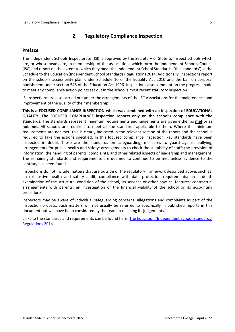# <span id="page-4-0"></span>**2. Regulatory Compliance Inspection**

## <span id="page-4-1"></span>**Preface**

The Independent Schools Inspectorate (ISI) is approved by the Secretary of State to inspect schools which are, or whose heads are, in membership of the associations which form the Independent Schools Council (ISC) and report on the extent to which they meet the Independent School Standards ('the standards') in the Schedule to the Education (Independent School Standards) Regulations 2014. Additionally, inspectionsreport on the school's accessibility plan under Schedule 10 of the Equality Act 2010 and the ban on corporal punishment under section 548 of the Education Act 1996. Inspections also comment on the progress made to meet any compliance action points set out in the school's most recent statutory inspection.

ISI inspections are also carried out under the arrangements of the ISC Associations for the maintenance and improvement of the quality of their membership.

**This is a FOCUSED COMPLIANCE INSPECTION which was combined with an inspection of EDUCATIONAL QUALITY. The FOCUSED COMPLIANCE inspection reports only on the school's compliance with the standards.** The standards represent minimum requirements and judgements are given either as **met** or as **not met**. All schools are required to meet all the standards applicable to them. Where the minimum requirements are not met, this is clearly indicated in the relevant section of the report and the school is required to take the actions specified. In this focused compliance inspection, key standards have been inspected in detail. These are the standards on safeguarding; measures to guard against bullying; arrangements for pupils' health and safety; arrangements to check the suitability of staff; the provision of information; the handling of parents' complaints; and other related aspects of leadership and management. The remaining standards and requirements are deemed to continue to be met unless evidence to the contrary has been found.

Inspections do not include matters that are outside of the regulatory framework described above, such as: an exhaustive health and safety audit; compliance with data protection requirements; an in-depth examination of the structural condition of the school, its services or other physical features; contractual arrangements with parents; an investigation of the financial viability of the school or its accounting procedures.

Inspectors may be aware of individual safeguarding concerns, allegations and complaints as part of the inspection process. Such matters will not usually be referred to specifically in published reports in this document but will have been considered by the team in reaching its judgements.

Links to the standards and requirements can be found here: The Education (Independent School Standards) Regulations 2014.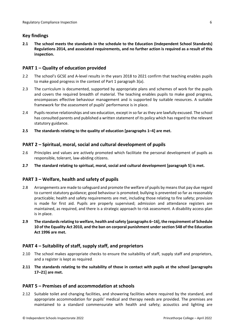# <span id="page-5-0"></span>**Key findings**

**2.1 The school meets the standards in the schedule to the Education (Independent School Standards) Regulations 2014, and associated requirements, and no further action is required as a result of this inspection.**

## <span id="page-5-1"></span>**PART 1 – Quality of education provided**

- 2.2 The school's GCSE and A-level results in the years 2018 to 2021 confirm that teaching enables pupils to make good progress in the context of Part 1 paragraph 3(a).
- 2.3 The curriculum is documented, supported by appropriate plans and schemes of work for the pupils and covers the required breadth of material. The teaching enables pupils to make good progress, encompasses effective behaviour management and is supported by suitable resources. A suitable framework for the assessment of pupils' performance is in place.
- 2.4 Pupils receive relationships and sex education, except in so far as they are lawfully excused. The school has consulted parents and published a written statement of its policy which has regard to the relevant statutory guidance.
- **2.5 The standards relating to the quality of education [paragraphs 1–4] are met.**

# <span id="page-5-2"></span>**PART 2 – Spiritual, moral, social and cultural development of pupils**

- 2.6 Principles and values are actively promoted which facilitate the personal development of pupils as responsible, tolerant, law-abiding citizens.
- **2.7 The standard relating to spiritual, moral, social and cultural development [paragraph 5] is met.**

# <span id="page-5-3"></span>**PART 3 – Welfare, health and safety of pupils**

- 2.8 Arrangements are made to safeguard and promote the welfare of pupils by means that pay due regard to current statutory guidance; good behaviour is promoted; bullying is prevented so far as reasonably practicable; health and safety requirements are met, including those relating to fire safety; provision is made for first aid. Pupils are properly supervised; admission and attendance registers are maintained, as required, and there is a strategic approach to risk assessment. A disability access plan is in place.
- **2.9 The standardsrelating to welfare, health and safety [paragraphs 6–16], the requirement of Schedule 10 of the Equality Act 2010, and the ban on corporal punishment undersection 548 of the Education Act 1996 are met.**

### <span id="page-5-4"></span>**PART 4 – Suitability of staff, supply staff, and proprietors**

- 2.10 The school makes appropriate checks to ensure the suitability of staff, supply staff and proprietors, and a register is kept as required.
- **2.11 The standards relating to the suitability of those in contact with pupils at the school [paragraphs 17–21] are met.**

### <span id="page-5-5"></span>**PART 5 – Premises of and accommodation at schools**

2.12 Suitable toilet and changing facilities, and showering facilities where required by the standard, and appropriate accommodation for pupils' medical and therapy needs are provided. The premises are maintained to a standard commensurate with health and safety; acoustics and lighting are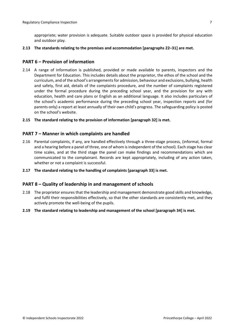appropriate; water provision is adequate. Suitable outdoor space is provided for physical education and outdoor play.

**2.13 The standards relating to the premises and accommodation [paragraphs 22–31] are met.**

#### <span id="page-6-0"></span>**PART 6 – Provision of information**

- 2.14 A range of information is published, provided or made available to parents, inspectors and the Department for Education. This includes details about the proprietor, the ethos of the school and the curriculum, and of the school's arrangementsfor admission, behaviour and exclusions, bullying, health and safety, first aid, details of the complaints procedure, and the number of complaints registered under the formal procedure during the preceding school year, and the provision for any with education, health and care plans or English as an additional language. It also includes particulars of the school's academic performance during the preceding school year, inspection reports and (for parents only) a report at least annually of their own child's progress. The safeguarding policy is posted on the school's website.
- **2.15 The standard relating to the provision of information [paragraph 32] is met.**

#### <span id="page-6-1"></span>**PART 7 – Manner in which complaints are handled**

- 2.16 Parental complaints, if any, are handled effectively through a three-stage process, (informal, formal and a hearing before a panel of three, one of whom isindependent of the school). Each stage has clear time scales, and at the third stage the panel can make findings and recommendations which are communicated to the complainant. Records are kept appropriately, including of any action taken, whether or not a complaint is successful.
- **2.17 The standard relating to the handling of complaints [paragraph 33] is met.**

#### <span id="page-6-2"></span>**PART 8 – Quality of leadership in and management of schools**

- 2.18 The proprietor ensures that the leadership and management demonstrate good skills and knowledge, and fulfil their responsibilities effectively, so that the other standards are consistently met, and they actively promote the well-being of the pupils.
- **2.19 The standard relating to leadership and management of the school [paragraph 34] is met.**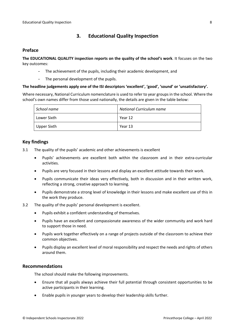# <span id="page-7-0"></span>**3. Educational Quality Inspection**

### <span id="page-7-1"></span>**Preface**

**The EDUCATIONAL QUALITY inspection reports on the quality of the school's work**. It focuses on the two key outcomes:

- The achievement of the pupils, including their academic development, and
- The personal development of the pupils.

#### **The headline judgements apply one of the ISI descriptors 'excellent', 'good', 'sound' or 'unsatisfactory'.**

Where necessary, National Curriculum nomenclature is used to refer to year groups in the school. Where the school's own names differ from those used nationally, the details are given in the table below:

| School name | <b>National Curriculum name</b> |
|-------------|---------------------------------|
| Lower Sixth | Year 12                         |
| Upper Sixth | Year 13                         |

### <span id="page-7-2"></span>**Key findings**

- 3.1 The quality of the pupils' academic and other achievements is excellent
	- Pupils' achievements are excellent both within the classroom and in their extra-curricular activities.
	- Pupils are very focused in their lessons and display an excellent attitude towards their work.
	- Pupils communicate their ideas very effectively, both in discussion and in their written work, reflecting a strong, creative approach to learning.
	- Pupils demonstrate a strong level of knowledge in their lessons and make excellent use of this in the work they produce.
- 3.2 The quality of the pupils' personal development is excellent.
	- Pupils exhibit a confident understanding of themselves.
	- Pupils have an excellent and compassionate awareness of the wider community and work hard to support those in need.
	- Pupils work together effectively on a range of projects outside of the classroom to achieve their common objectives.
	- Pupils display an excellent level of moral responsibility and respect the needs and rights of others around them.

#### <span id="page-7-3"></span>**Recommendations**

The school should make the following improvements.

- Ensure that all pupils always achieve their full potential through consistent opportunities to be active participants in their learning.
- Enable pupils in younger years to develop their leadership skills further.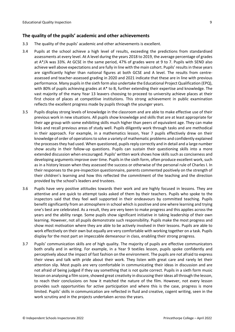### <span id="page-8-0"></span>**The quality of the pupils' academic and other achievements**

- 3.3 The quality of the pupils' academic and other achievements is excellent.
- 3.4 Pupils at the school achieve a high level of results, exceeding the predictions from standardised assessments at every level. At A level during the years 2018 to 2019, the average percentage of grades at A\*/A was 33%. At GCSE in the same period, 47% of grades were at 9 to 7. Pupils with SEND also achieve well above expectations and are fully in line with the main cohort. Pupils' resultsin these years are significantly higher than national figures at both GCSE and A level. The results from centreassessed and teacher-assessed grading in 2020 and 2021 indicate that these are in line with previous performance. Many pupilsin the sixth form also undertake the Educational Project Qualification (EPQ), with 80% of pupils achieving grades at  $A^*$  to B, further extending their expertise and knowledge. The vast majority of the many Year 13 leavers choosing to proceed to university achieve places at their first choice of places at competitive institutions. This strong achievement in public examination reflects the excellent progress made by pupils through the younger years.
- 3.5 Pupils display strong levels of knowledge in the classroom and are able to make effective use of their previous work in new situations. All pupils show knowledge and skills that are at least appropriate for their age group with some exhibiting skills much higher than peers of equivalent age. They can make links and recall previous areas of study well. Pupils diligently work through tasks and are methodical in their approach. For example, in a mathematics lesson, Year 7 pupils effectively drew on their knowledge of order of operationsto solve a variety of mathematic problems and confidently explained the processesthey had used. When questioned, pupilsreply correctly and in detail and a large number show acuity in their follow-up questions. Pupils can sustain their questioning skills into a more extended discussion when encouraged. Pupils' written work shows how skills such as conciseness and developing arguments improve over time. Pupils in the sixth form, often produce excellent work, such as in a history lesson when they assessed the success or otherwise of the personal rule of Charles I. In their responses to the pre-inspection questionnaire, parents commented positively on the strength of their children's learning and how this reflected the commitment of the teaching and the direction provided by the school's leaders and trustees.
- 3.6 Pupils have very positive attitudes towards their work and are highly focused in lessons. They are attentive and are quick to attempt tasks asked of them by their teachers. Pupils who spoke to the inspectors said that they feel well supported in their endeavours by committed teaching. Pupils benefit significantly from an atmosphere in school which is positive and one where learning and trying one's best are celebrated. As a result, they are very keen to make progress and this applies across the years and the ability range. Some pupils show significant initiative in taking leadership of their own learning. However, not all pupils demonstrate such responsibility. Pupils make the most progress and show most motivation where they are able to be actively involved in their lessons. Pupils are able to work effectively on their own but equally are very comfortable with working together on a task. Pupils display for the most part an impeccable demeanour in class, enabling their strong progress.
- 3.7 Pupils' communication skills are of high quality. The majority of pupils are effective communicators both orally and in writing. For example, in a Year 9 textiles lesson, pupils spoke confidently and perceptively about the impact of fast fashion on the environment. The pupils are not afraid to express their views and talk with pride about their work. They listen with great care and rarely let their attention slip. Most pupils are very comfortable in communicating their ideas in discussion and are not afraid of being judged if they say something that is not quite correct. Pupils in a sixth form music lesson on analysing a film score, showed great creativity in discussing their ideas all through the lesson, to reach their conclusions on how it matched the nature of the film. However, not every lesson provides such opportunities for active participation and where this is the case, progress is more limited. Pupils' skills in communication are reflected in fluid and creative, cogent writing, seen in the work scrutiny and in the projects undertaken across the years.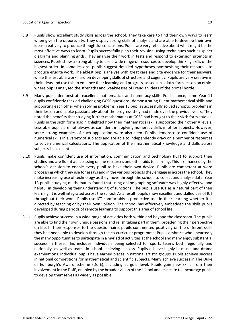- 3.8 Pupils show excellent study skills across the school. They take care to find their own ways to learn when given the opportunity. They display strong skills of analysis and are able to develop their own ideas creatively to produce thoughtful conclusions. Pupils are very reflective about what might be the most effective ways to learn. Pupils successfully plan their revision, using techniques such as spider diagrams and planning grids. They analyse their work in tests and respond to extension prompts in sciences. Pupils show a strong ability to use a wide range of resources to develop thinking skills of the highest order. In some lessons, pupils suggest detailed hypotheses, synthesising their resources to produce erudite work. The ablest pupils analyse with great care and cite evidence for their answers, while the less able work hard on developing skills of structure and cogency. Pupils are very creative in their ideas and use this to enhance their learning and progress, as seen in a sixth-form lesson on ethics where pupils analysed the strengths and weaknesses of Freudian ideas of the primal horde.
- 3.9 Many pupils demonstrate excellent mathematical and numeracy skills. For instance, some Year 11 pupils confidently tackled challenging GCSE questions, demonstrating fluent mathematical skills and supporting each other when solving problems. Year 13 pupils successfully solved synoptic problems in their lesson and spoke passionately about the progress they had made over the previous years. They noted the benefits that studying further mathematics at GCSE had brought to their sixth form studies. Pupils in the sixth form also highlighted how their mathematical skills supported their other A levels. Less able pupils are not always as confident in applying numeracy skills in other subjects. However, some strong examples of such application were also seen. Pupils demonstrate confident use of numerical skills in a variety of subjects and are able to independently draw on a number of resources to solve numerical calculations. The application of their mathematical knowledge and skills across subjects is excellent.
- 3.10 Pupils make confident use of information, communication and technology (ICT) to support their studies and are fluent at accessing online resources and other aids to learning. This is enhanced by the school's decision to enable every pupil to have their own device. Pupils are competent at word processing which they use for essays and in the various projects they engage in across the school. They make increasing use of technology as they move through the school, to collect and analyse data. Year 13 pupils studying mathematics found that using online graphing software was highly effective and helpful in developing their understanding of functions. The pupils use ICT as a natural part of their learning. It is well integrated across the school. As a result, pupils show excellent and skilled use of ICT throughout their work. Pupils use ICT comfortably a productive tool in their learning whether it is directed by teaching or by their own volition. The school has effectively embedded the skills pupils developed during periods of remote learning to support this area of school life.
- 3.11 Pupils achieve success in a wide range of activities both within and beyond the classroom. The pupils are able to find their own unique passions and relish taking part in them, broadening their perspective on life. In their responses to the questionnaire, pupils commented positively on the different skills they had been able to develop through the co-curricular programme. Pupils embrace wholeheartedly the many opportunities to participate in a myriad of activities at the school and many enjoy substantial success in these. This includes individuals being selected for sports teams both regionally and nationally, as well as teams in school achieving success. Pupils achieve highly in music and drama examinations. Individual pupils have earned places in national artistic groups. Pupils achieve success in national competitions for mathematical and scientific subjects. Many achieve success in The Duke of Edinburgh's Award scheme (DofE), including at gold level. Pupils gain new skills from their involvement in the DofE, enabled by the broader vision of the school and its desire to encourage pupils to develop themselves as widely as possible.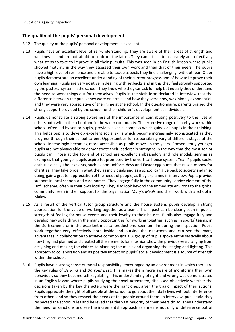# <span id="page-10-0"></span>**The quality of the pupils' personal development**

- 3.12 The quality of the pupils' personal development is excellent.
- 3.13 Pupils have an excellent level of self-understanding. They are aware of their areas of strength and weaknesses and are not afraid to confront the latter. They can articulate accurately and effectively what steps to take to improve in all their pursuits. This was seen in an English lesson where pupils showed maturity in the way they assessed their own work and then that of their peers. The pupils have a high level of resilience and are able to tackle aspects they find challenging, without fear. Older pupils demonstrate an excellent understanding of their current progress and of how to improve their own learning. Pupils are very positive in dealing with setbacks and in this they feel strongly supported by the pastoral system in the school. They know who they can ask for help but equally they understand the need to work things out for themselves. Pupils in the sixth form declared in interview that the difference between the pupils they were on arrival and how they were now, was 'simply exponential' and they were very appreciative of their time at the school. In the questionnaire, parents praised the strong support provided by the school for their children's development as individuals.
- 3.14 Pupils demonstrate a strong awareness of the importance of contributing positively to the lives of others both within the school and in the wider community. The extensive range of charity work within school, often led by senior pupils, provides a social compass which guides all pupils in their thinking. This helps pupils to develop excellent social skills which become increasingly sophisticated as they progress through their school career. Opportunities for responsibility vary at different stages of the school, increasingly becoming more accessible as pupils move up the years. Consequently younger pupils are not always able to demonstrate their leadership strengths in the way that the most senior pupils can. Those at the top end of school are excellent ambassadors and role models serving as examples that younger pupils aspire to, promoted by the vertical house system. Year 7 pupils spoke enthusiastically about events, such as non-uniform days and Easter egg hunts that raised money for charities. They take pride in what they as individuals and as a school can give back to society and in so doing, gain a greater appreciation of the needs of people, asthey explained in interview. Pupils provide support in local schools and care homes. They engage fully in the community service element of the DofE scheme, often in their own locality. They also look beyond the immediate environs to the global community, seen in their support for the organisation *Mary's Meals* and their work with a school in Malawi.
- 3.15 As a result of the vertical tutor group structure and the house system, pupils develop a strong appreciation for the value of working together as a team. This impact can be clearly seen in pupils' strength of feeling for house events and their loyalty to their houses. Pupils also engage fully and develop new skills through the many opportunities for working together, such as in sports' teams, in the DofE scheme or in the excellent musical productions, seen on film during the inspection. Pupils work together very effectively both inside and outside the classroom and can see the many advantages in collaboration to achieve common goals. A group of pupils spoke enthusiastically about how they had planned and created all the elements for a fashion show the previous year, ranging from designing and making the clothes to planning the music and organising the staging and lighting. This approach to collaboration and its positive impact on pupils' social development is a source of strength within the school.
- 3.16 Pupils have a strong sense of moral responsibility, encouraged by an environment in which there are the key rules of *Be Kind* and *Do your Best*. This makes them more aware of monitoring their own behaviour, so they become self-regulating. This understanding of right and wrong was demonstrated in an English lesson where pupils studying the novel *Atonement,* discussed objectively whether the decisions taken by the key characters were the right ones, given the tragic impact of their actions. Pupils appreciate the right of all people at the school to go about their daily lives without interference from others and so they respect the needs of the people around them. In interview, pupils said they respected the school rules and believed that the vast majority of their peers do so. They understand the need for sanctions and see the incremental approach as a means not only of deterrence but of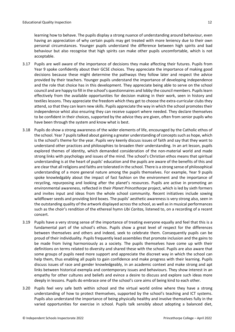learning how to behave. The pupils display a strong nuance of understanding around behaviour, even having an appreciation of why certain pupils may get treated with more leniency due to their own personal circumstances. Younger pupils understand the difference between high spirits and bad behaviour but also recognise that high spirits can make other pupils uncomfortable, which is not acceptable.

- 3.17 Pupils are well aware of the importance of decisions they make affecting their futures. Pupils from Year 9 spoke confidently about their GCSE choices. They appreciate the importance of making good decisions because these might determine the pathways they follow later and respect the advice provided by their teachers. Younger pupils understand the importance of developing independence and the role that choice has in this development. They appreciate being able to serve on the school council and are happy to fill in the school's questionnaires and lobby the council members. Pupilslearn effectively from the available opportunities for decision making in their work, seen in history and textiles lessons. They appreciate the freedom which they get to choose the extra-curricular clubs they attend, so that they can learn new skills. Pupils appreciate the way in which the school promotes their independence whist also ensuring they can receive support where needed. They declare themselves to be confident in their choices, supported by the advice they are given, often from senior pupils who have been through the system and know what is best.
- 3.18 Pupils do show a strong awareness of the wider elements of life, encouraged by the Catholic ethos of the school. Year 7 pupils talked about gaining a greater understanding of concepts such as hope, which is the school's theme for the year. Pupils very keenly discuss issues of faith and say that they want to understand other practices and philosophies to broaden their understanding. In an art lesson, pupils explored themes of identity, which demanded consideration of the non-material world and made strong links with psychology and issues of the mind. The school's Christian ethos means that spiritual understanding is at the heart of pupils' education and the pupils are aware of the benefits of this and are clear that all religions and faiths are tolerated in the school. There is a strong sense of philosophical understanding of a more general nature among the pupils themselves. For example, Year 9 pupils spoke knowledgably about the impact of fast fashion on the environment and the importance of recycling, repurposing and looking after the planet's resources. Pupils are active in promoting an environmental awareness, reflected in their *Planet Princethorpe* project, which is led by sixth formers and invites input and ideas from the whole school community. Recent initiatives include sowing wildflower seeds and providing bird boxes. The pupils' aesthetic awareness is very strong also, seen in the outstanding quality of the artwork displayed across the school, as well as in musical performances such as the choir's rendition of the ethereal hymn *Ubi Caritas,* listened to, on a recording of a recent concert.
- 3.19 Pupils have a very strong sense of the importance of treating everyone equally and feel that this is a fundamental part of the school's ethos. Pupils show a great level of respect for the differences between themselves and others and indeed, seek to celebrate them. Consequently pupils can be proud of their individuality. Pupils frequently lead assemblies that promote inclusion and the gains to be made from living harmoniously as a society. The pupils themselves have come up with their definitions on terms related to diversity and shared these with the school. Pupils are also aware that some groups of pupils need more support and appreciate the discreet way in which the school can help them, thus enabling all pupils to gain confidence and make progress with their learning. Pupils discuss issues of race and gender knowledgeably, in an academic context and make strong and apt links between historical exempla and contemporary issues and behaviours. They show interest in an empathy for other cultures and beliefs and evince a desire to discuss and explore such ideas more deeply in lessons. Pupils do embrace one of the school's core aims of being kind to each other.
- 3.20 Pupils feel very safe both within school and the virtual world online where they have a strong understanding of how to protect themselves, supported by the school's teaching and ICT systems. Pupils also understand the importance of being physically healthy and involve themselves fully in the varied opportunities for exercise in school. Pupils talk sensibly about adopting a balanced diet,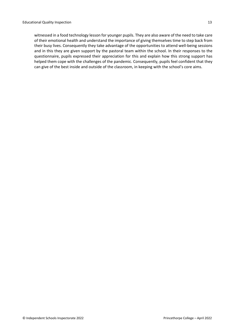witnessed in a food technology lesson for younger pupils. They are also aware of the need to take care of their emotional health and understand the importance of giving themselves time to step back from their busy lives. Consequently they take advantage of the opportunities to attend well-being sessions and in this they are given support by the pastoral team within the school. In their responses to the questionnaire, pupils expressed their appreciation for this and explain how this strong support has helped them cope with the challenges of the pandemic. Consequently, pupils feel confident that they can give of the best inside and outside of the classroom, in keeping with the school's core aims.